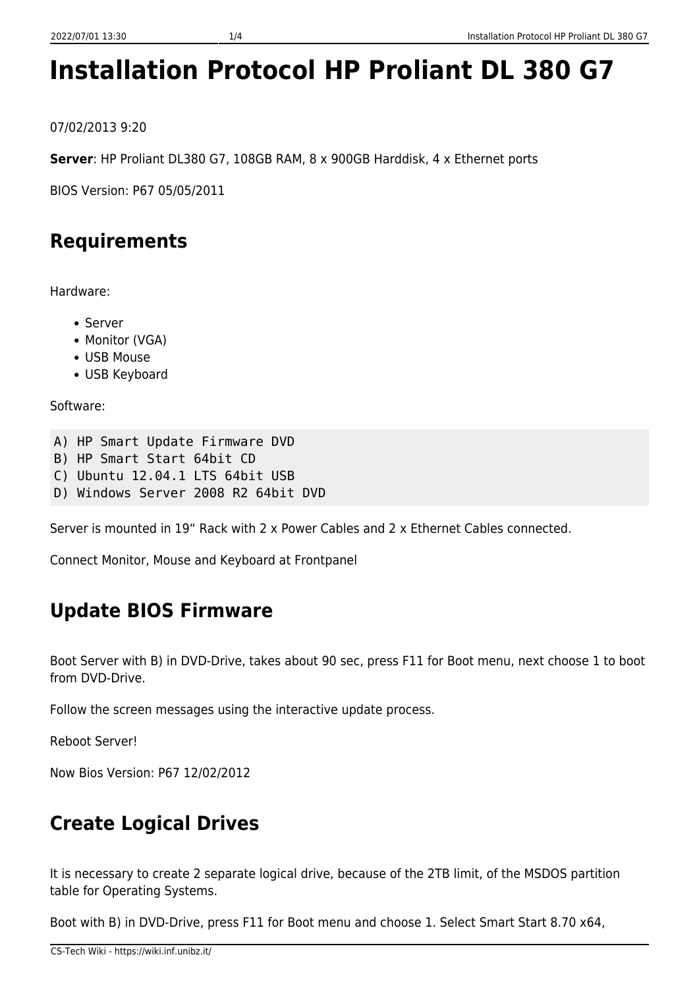# **Installation Protocol HP Proliant DL 380 G7**

07/02/2013 9:20

**Server**: HP Proliant DL380 G7, 108GB RAM, 8 x 900GB Harddisk, 4 x Ethernet ports

BIOS Version: P67 05/05/2011

# **Requirements**

Hardware:

- Server
	- Monitor (VGA)
	- USB Mouse
	- USB Keyboard

Software:

```
A) HP Smart Update Firmware DVD
```
- B) HP Smart Start 64bit CD
- C) Ubuntu 12.04.1 LTS 64bit USB
- D) Windows Server 2008 R2 64bit DVD

Server is mounted in 19" Rack with 2 x Power Cables and 2 x Ethernet Cables connected.

Connect Monitor, Mouse and Keyboard at Frontpanel

## **Update BIOS Firmware**

Boot Server with B) in DVD-Drive, takes about 90 sec, press F11 for Boot menu, next choose 1 to boot from DVD-Drive.

Follow the screen messages using the interactive update process.

Reboot Server!

Now Bios Version: P67 12/02/2012

# **Create Logical Drives**

It is necessary to create 2 separate logical drive, because of the 2TB limit, of the MSDOS partition table for Operating Systems.

Boot with B) in DVD-Drive, press F11 for Boot menu and choose 1. Select Smart Start 8.70 x64,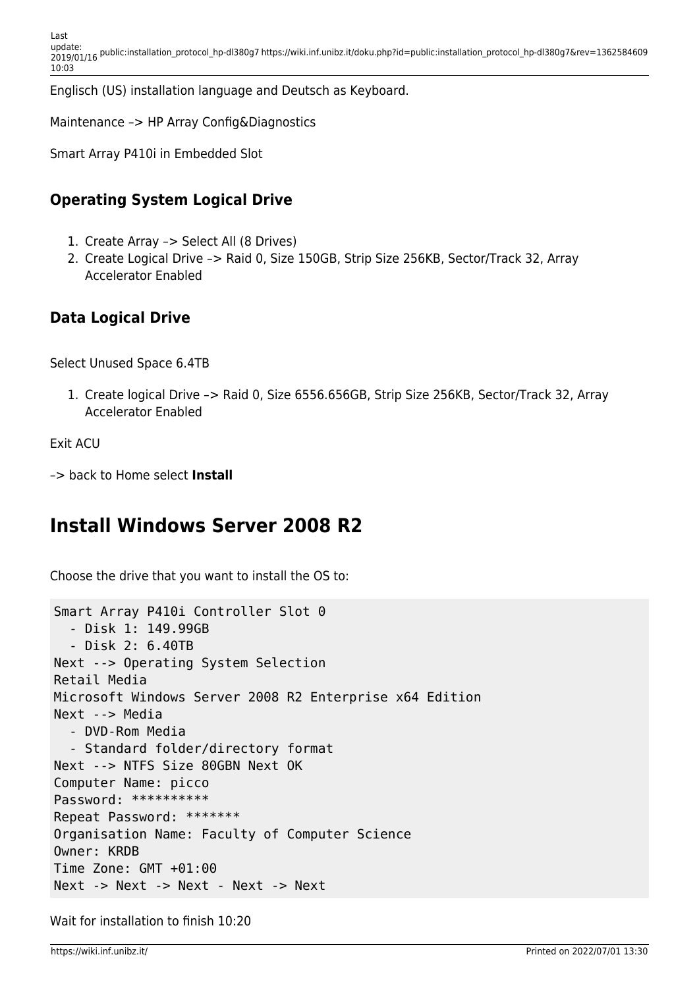Englisch (US) installation language and Deutsch as Keyboard.

Maintenance –> HP Array Config&Diagnostics

Smart Array P410i in Embedded Slot

#### **Operating System Logical Drive**

- 1. Create Array –> Select All (8 Drives)
- 2. Create Logical Drive –> Raid 0, Size 150GB, Strip Size 256KB, Sector/Track 32, Array Accelerator Enabled

#### **Data Logical Drive**

Select Unused Space 6.4TB

1. Create logical Drive –> Raid 0, Size 6556.656GB, Strip Size 256KB, Sector/Track 32, Array Accelerator Enabled

```
Exit ACU
```
–> back to Home select **Install**

### **Install Windows Server 2008 R2**

Choose the drive that you want to install the OS to:

```
Smart Array P410i Controller Slot 0
   - Disk 1: 149.99GB
   - Disk 2: 6.40TB
Next --> Operating System Selection
Retail Media
Microsoft Windows Server 2008 R2 Enterprise x64 Edition
Next --> Media
   - DVD-Rom Media
   - Standard folder/directory format
Next --> NTFS Size 80GBN Next OK
Computer Name: picco
Password: **********
Repeat Password: *******
Organisation Name: Faculty of Computer Science
Owner: KRDB
Time Zone: GMT +01:00
Next -> Next -> Next - Next -> Next
```
Wait for installation to finish 10:20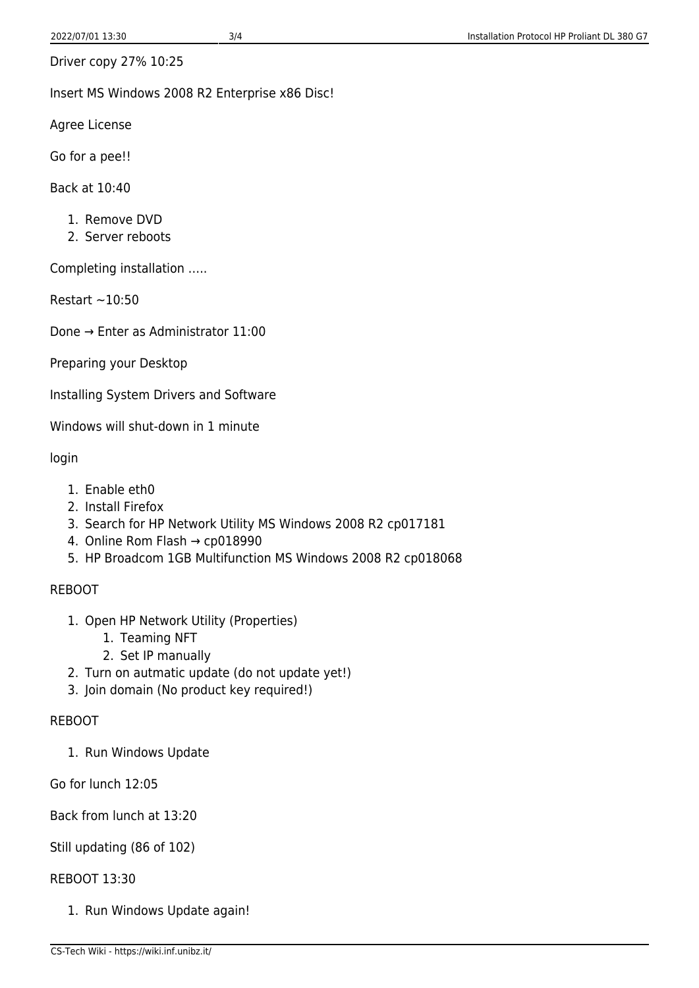Driver copy 27% 10:25

Insert MS Windows 2008 R2 Enterprise x86 Disc!

Agree License

Go for a pee!!

Back at 10:40

- 1. Remove DVD
- 2. Server reboots

Completing installation …..

Restart  $\sim$  10:50

Done → Enter as Administrator 11:00

Preparing your Desktop

Installing System Drivers and Software

Windows will shut-down in 1 minute

login

- 1. Enable eth0
- 2. Install Firefox
- 3. Search for HP Network Utility MS Windows 2008 R2 cp017181
- 4. Online Rom Flash → cp018990
- 5. HP Broadcom 1GB Multifunction MS Windows 2008 R2 cp018068

#### REBOOT

- 1. Open HP Network Utility (Properties)
	- 1. Teaming NFT
	- 2. Set IP manually
- 2. Turn on autmatic update (do not update yet!)
- 3. Join domain (No product key required!)

#### REBOOT

1. Run Windows Update

Go for lunch 12:05

Back from lunch at 13:20

#### Still updating (86 of 102)

#### REBOOT 13:30

1. Run Windows Update again!